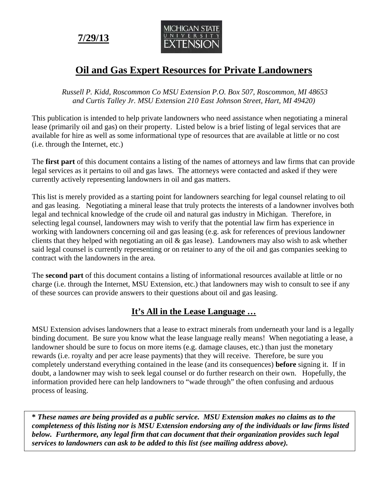**7/29/13** 



# **Oil and Gas Expert Resources for Private Landowners**

 *Russell P. Kidd, Roscommon Co MSU Extension P.O. Box 507, Roscommon, MI 48653 and Curtis Talley Jr. MSU Extension 210 East Johnson Street, Hart, MI 49420)* 

This publication is intended to help private landowners who need assistance when negotiating a mineral lease (primarily oil and gas) on their property. Listed below is a brief listing of legal services that are available for hire as well as some informational type of resources that are available at little or no cost (i.e. through the Internet, etc.)

The **first part** of this document contains a listing of the names of attorneys and law firms that can provide legal services as it pertains to oil and gas laws. The attorneys were contacted and asked if they were currently actively representing landowners in oil and gas matters.

This list is merely provided as a starting point for landowners searching for legal counsel relating to oil and gas leasing. Negotiating a mineral lease that truly protects the interests of a landowner involves both legal and technical knowledge of the crude oil and natural gas industry in Michigan. Therefore, in selecting legal counsel, landowners may wish to verify that the potential law firm has experience in working with landowners concerning oil and gas leasing (e.g. ask for references of previous landowner clients that they helped with negotiating an oil & gas lease). Landowners may also wish to ask whether said legal counsel is currently representing or on retainer to any of the oil and gas companies seeking to contract with the landowners in the area.

The **second part** of this document contains a listing of informational resources available at little or no charge (i.e. through the Internet, MSU Extension, etc.) that landowners may wish to consult to see if any of these sources can provide answers to their questions about oil and gas leasing.

## **It's All in the Lease Language …**

MSU Extension advises landowners that a lease to extract minerals from underneath your land is a legally binding document. Be sure you know what the lease language really means! When negotiating a lease, a landowner should be sure to focus on more items (e.g. damage clauses, etc.) than just the monetary rewards (i.e. royalty and per acre lease payments) that they will receive. Therefore, be sure you completely understand everything contained in the lease (and its consequences) **before** signing it. If in doubt, a landowner may wish to seek legal counsel or do further research on their own. Hopefully, the information provided here can help landowners to "wade through" the often confusing and arduous process of leasing.

**\*** *These names are being provided as a public service. MSU Extension makes no claims as to the completeness of this listing nor is MSU Extension endorsing any of the individuals or law firms listed below. Furthermore, any legal firm that can document that their organization provides such legal services to landowners can ask to be added to this list (see mailing address above).*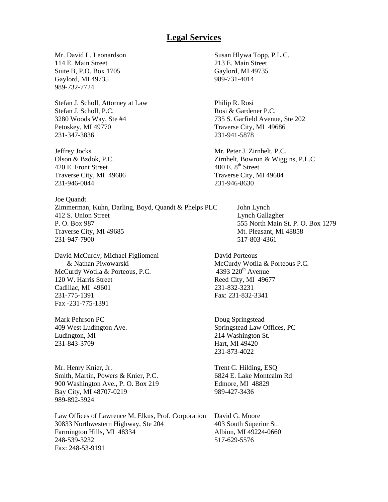#### **Legal Services**

Mr. David L. Leonardson Susan Hlywa Topp, P.L.C. 114 E. Main Street 213 E. Main Street Suite B, P.O. Box 1705 Gaylord, MI 49735 Gaylord, MI 49735 989-731-4014 989-732-7724

Stefan J. Scholl, Attorney at Law Philip R. Rosi Stefan J. Scholl, P.C. Rosi & Gardener P.C. 3280 Woods Way, Ste #4 735 S. Garfield Avenue, Ste 202 Petoskey, MI 49770 Traverse City, MI 49686 231-347-3836 231-941-5878

Jeffrey Jocks Mr. Peter J. Zirnhelt, P.C. 420 E. Front Street  $400 \text{ E}$ .  $8^{\text{th}}$  Street Traverse City, MI 49686 Traverse City, MI 49684 231-946-0044 231-946-8630

Joe Quandt Zimmerman, Kuhn, Darling, Boyd, Quandt & Phelps PLC John Lynch 412 S. Union Street Lynch Gallagher P. O. Box 987 555 North Main St. P. O. Box 1279 Traverse City, MI 49685 Mt. Pleasant, MI 48858 231-947-7900 517-803-4361

David McCurdy, Michael Figliomeni David Porteous McCurdy Wotila & Porteous, P.C. 120 W. Harris Street Reed City, MI 49677 Cadillac, MI 49601 231-832-3231 231-775-1391 Fax: 231-832-3341 Fax -231-775-1391

Mark Pehrson PC Doug Springstead Ludington, MI 214 Washington St. 231-843-3709 Hart, MI 49420

Mr. Henry Knier, Jr. Trent C. Hilding, ESQ Smith, Martin, Powers & Knier, P.C. 6824 E. Lake Montcalm Rd 900 Washington Ave., P. O. Box 219 Edmore, MI 48829 Bay City, MI 48707-0219 989-427-3436 989-892-3924

Law Offices of Lawrence M. Elkus, Prof. Corporation David G. Moore 30833 Northwestern Highway, Ste 204 403 South Superior St. Farmington Hills, MI 48334 Albion, MI 49224-0660<br>248-539-3232 517-629-5576 Fax: 248-53-9191

Olson & Bzdok, P.C. Zirnhelt, Bowron & Wiggins, P.L.C

& Nathan Piwowarski McCurdy Wotila & Porteous P.C.<br>Curdy Wotila & Porteous, P.C. 4393 220<sup>th</sup> Avenue

409 West Ludington Ave. Springstead Law Offices, PC 231-873-4022

517-629-5576